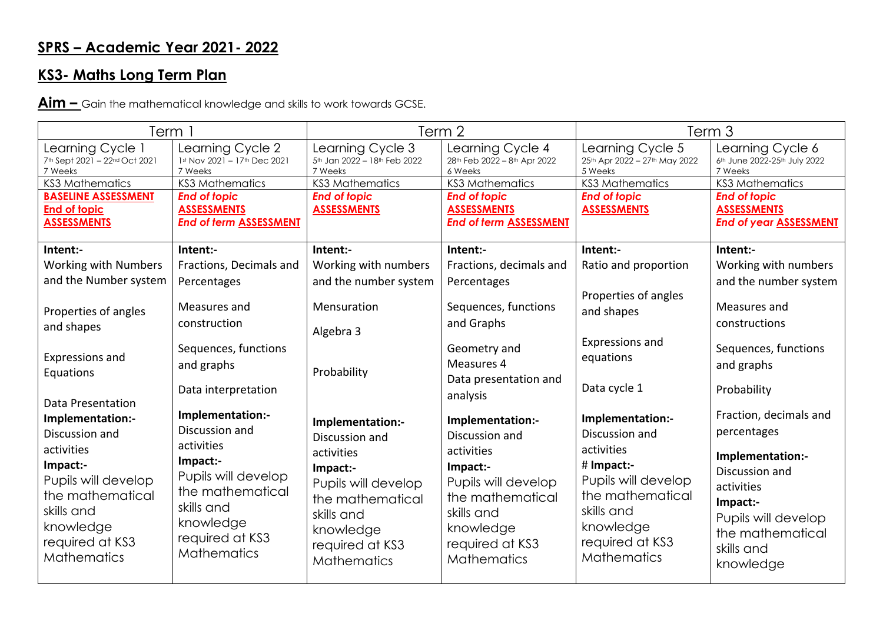## **SPRS – Academic Year 2021- 2022**

## **KS3- Maths Long Term Plan**

**Aim –** Gain the mathematical knowledge and skills to work towards GCSE.

| Term 1                                                                                                                                                                      |                                                                                                                                                                             | Term 2                                                                                                                                                                      |                                                                                                                                                                             | Term <sub>3</sub>                                                                                                                                                      |                                                                                                                                                                             |
|-----------------------------------------------------------------------------------------------------------------------------------------------------------------------------|-----------------------------------------------------------------------------------------------------------------------------------------------------------------------------|-----------------------------------------------------------------------------------------------------------------------------------------------------------------------------|-----------------------------------------------------------------------------------------------------------------------------------------------------------------------------|------------------------------------------------------------------------------------------------------------------------------------------------------------------------|-----------------------------------------------------------------------------------------------------------------------------------------------------------------------------|
| Learning Cycle 1<br>7th Sept 2021 - 22nd Oct 2021<br>7 Weeks                                                                                                                | Learning Cycle 2<br>1st Nov 2021 - 17th Dec 2021<br>7 Weeks                                                                                                                 | Learning Cycle 3<br>5th Jan 2022 - 18th Feb 2022<br>7 Weeks                                                                                                                 | Learning Cycle 4<br>28th Feb 2022 - 8th Apr 2022<br>6 Weeks                                                                                                                 | Learning Cycle 5<br>25th Apr 2022 - 27th May 2022<br>5 Weeks                                                                                                           | Learning Cycle 6<br>6th June 2022-25th July 2022<br>7 Weeks                                                                                                                 |
| <b>KS3 Mathematics</b>                                                                                                                                                      | <b>KS3 Mathematics</b>                                                                                                                                                      | <b>KS3 Mathematics</b>                                                                                                                                                      | <b>KS3 Mathematics</b>                                                                                                                                                      | <b>KS3 Mathematics</b>                                                                                                                                                 | <b>KS3 Mathematics</b>                                                                                                                                                      |
| <b>BASELINE ASSESSMENT</b><br><b>End of topic</b><br><b>ASSESSMENTS</b>                                                                                                     | <b>End of topic</b><br><b>ASSESSMENTS</b><br><b>End of term ASSESSMENT</b>                                                                                                  | <b>End of topic</b><br><b>ASSESSMENTS</b>                                                                                                                                   | <b>End of topic</b><br><b>ASSESSMENTS</b><br><b>End of term ASSESSMENT</b>                                                                                                  | <b>End of topic</b><br><b>ASSESSMENTS</b>                                                                                                                              | <b>End of topic</b><br><b>ASSESSMENTS</b><br><b>End of year ASSESSMENT</b>                                                                                                  |
| Intent:-                                                                                                                                                                    | Intent:-                                                                                                                                                                    | Intent:-                                                                                                                                                                    | Intent:-                                                                                                                                                                    | Intent:-                                                                                                                                                               | Intent:-                                                                                                                                                                    |
| <b>Working with Numbers</b>                                                                                                                                                 | Fractions, Decimals and                                                                                                                                                     | Working with numbers                                                                                                                                                        | Fractions, decimals and                                                                                                                                                     | Ratio and proportion                                                                                                                                                   | Working with numbers                                                                                                                                                        |
| and the Number system                                                                                                                                                       | Percentages                                                                                                                                                                 | and the number system                                                                                                                                                       | Percentages                                                                                                                                                                 |                                                                                                                                                                        | and the number system                                                                                                                                                       |
| Properties of angles<br>and shapes                                                                                                                                          | Measures and<br>construction                                                                                                                                                | Mensuration                                                                                                                                                                 | Sequences, functions<br>and Graphs                                                                                                                                          | Properties of angles<br>and shapes                                                                                                                                     | Measures and<br>constructions                                                                                                                                               |
| Expressions and<br>Equations<br>Data Presentation                                                                                                                           | Sequences, functions<br>and graphs<br>Data interpretation                                                                                                                   | Algebra 3<br>Probability                                                                                                                                                    | Geometry and<br>Measures 4<br>Data presentation and<br>analysis                                                                                                             | Expressions and<br>equations<br>Data cycle 1                                                                                                                           | Sequences, functions<br>and graphs<br>Probability                                                                                                                           |
| Implementation:-<br>Discussion and<br>activities<br>Impact:-<br>Pupils will develop<br>the mathematical<br>skills and<br>knowledge<br>required at KS3<br><b>Mathematics</b> | Implementation:-<br>Discussion and<br>activities<br>Impact:-<br>Pupils will develop<br>the mathematical<br>skills and<br>knowledge<br>required at KS3<br><b>Mathematics</b> | Implementation:-<br>Discussion and<br>activities<br>Impact:-<br>Pupils will develop<br>the mathematical<br>skills and<br>knowledge<br>required at KS3<br><b>Mathematics</b> | Implementation:-<br>Discussion and<br>activities<br>Impact:-<br>Pupils will develop<br>the mathematical<br>skills and<br>knowledge<br>required at KS3<br><b>Mathematics</b> | Implementation:-<br>Discussion and<br>activities<br># Impact:-<br>Pupils will develop<br>the mathematical<br>skills and<br>knowledge<br>required at KS3<br>Mathematics | Fraction, decimals and<br>percentages<br>Implementation:-<br>Discussion and<br>activities<br>Impact:-<br>Pupils will develop<br>the mathematical<br>skills and<br>knowledge |